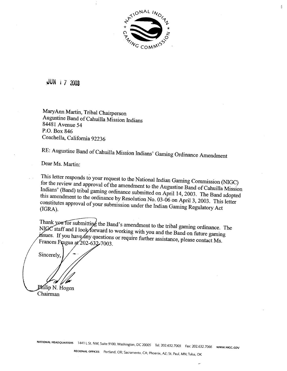

 $\bar{U}$ 

JUN 1 7 2003

MaryAnn Martin, Tribal Chairperson Augustine Band of Cahuilla Mission Indians 84481 Avenue 54 P.O. Box 846 Coachella, California 92236

RE: Augustine Band of Cahuilla Mission Indians' Gaming Ordinance Amendment

Dear Ms. Martin:

This letter responds to your request to the National Indian Gaming Commission (NIGC)  $\epsilon$  the review and approval of the amendment to the INCC of Caming Commission (NIGC) dians' (Band) tribal gaming ordinance submitted on Augustine Band of Cahuilla Mission Indians' (Band) tribal gaming ordinance submitted on April 14, 2003. The Band adopted this amendment to the ordinance by Resolution No. 03-06 on April 3, 2003. This letter constitutes approval of your submission under the Indian Gaming Regulatory Act (IGRA).

 $B^2$ s amendment to the tribal gament to the tribal gament of the tribal gament of the tribal gament of the tribal gament of the tribal gament of the tribal gament of the tribal gament of the tribal gament of the tribal g NIGC staff and I look forward to working with you and the Band on future gaming issues. If you have any questions or require further assistance, please contact Ms. **the solution of the and and part in the Band of the Band of the Band of the Band of the Band of the Band of the Band of the Band of the Band of the Band of the Band of the Band of the Band of the Band of the Band of the B** Frances Fragua at 202-632-7003.

Sincerely,

Philip N. Hogen Chairman

**NATIONAL HEADQUARTERS** 1441 **L St. NW,** Suite 9100. Washington. DC 20005 Tel: 202.632.7003 **Fax:** 202.632.7066 **www.Nl~c.cov** 

**REGIONAL OFFICES** Portland. OR: Sacramento, **CA;** Phoenix, **AZ;** St. Paul, **MN;Tulsa,** OK